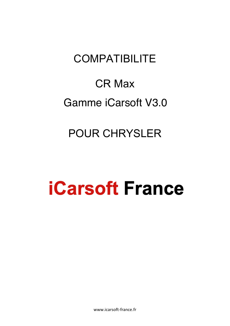# **COMPATIBILITE**

# CR Max Gamme iCarsoft V3.0

# POUR CHRYSLER

# **iCarsoft France**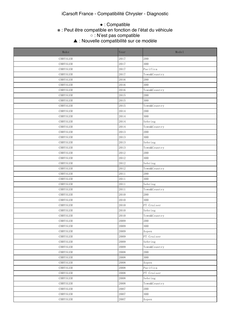● : Compatible

#### **Example 19 State is support in the function in the compati** ※ : Peut être compatible en fonction de l'état du véhicule

 $\sim$  This function may be supported may be supported. Which depends on the vehicle  $\sim$  the vehicle. ○ : N'est pas compatible

△ Thouvelle cor ▲ : Nouvelle compatibilité sur ce modèle

| Make     | Year | Model        |
|----------|------|--------------|
| CHRYSLER | 2017 | 200          |
| CHRYSLER | 2017 | 300          |
| CHRYSLER | 2017 | Pacifica     |
| CHRYSLER | 2017 | Town&Country |
| CHRYSLER | 2016 | 200          |
| CHRYSLER | 2016 | 300          |
| CHRYSLER | 2016 | Town&Country |
| CHRYSLER | 2015 | 200          |
| CHRYSLER | 2015 | 300          |
| CHRYSLER | 2015 | Town&Country |
| CHRYSLER | 2014 | 200          |
| CHRYSLER | 2014 | 300          |
| CHRYSLER | 2014 | Sebring      |
| CHRYSLER | 2014 | Town&Country |
| CHRYSLER | 2013 | 200          |
| CHRYSLER | 2013 | 300          |
| CHRYSLER | 2013 | Sebring      |
| CHRYSLER | 2013 | Town&Country |
| CHRYSLER | 2012 | 200          |
| CHRYSLER | 2012 | 300          |
| CHRYSLER | 2012 | Sebring      |
| CHRYSLER | 2012 | Town&Country |
| CHRYSLER | 2011 | 200          |
| CHRYSLER | 2011 | 300          |
| CHRYSLER | 2011 | Sebring      |
| CHRYSLER | 2011 | Town&Country |
| CHRYSLER | 2010 | 200          |
| CHRYSLER | 2010 | 300          |
| CHRYSLER | 2010 | PT Cruiser   |
| CHRYSLER | 2010 | Sebring      |
| CHRYSLER | 2010 | Town&Country |
| CHRYSLER | 2009 | 200          |
| CHRYSLER | 2009 | 300          |
| CHRYSLER | 2009 | Aspen        |
| CHRYSLER | 2009 | PT Cruiser   |
| CHRYSLER | 2009 | Sebring      |
| CHRYSLER | 2009 | Town&Country |
| CHRYSLER | 2008 | 200          |
| CHRYSLER | 2008 | 300          |
| CHRYSLER | 2008 | Aspen        |
| CHRYSLER | 2008 | Pacifica     |
| CHRYSLER | 2008 | PT Cruiser   |
| CHRYSLER | 2008 | Sebring      |
| CHRYSLER | 2008 | Town&Country |
| CHRYSLER | 2007 | 200          |
| CHRYSLER | 2007 | 300          |
| CHRYSLER | 2007 | Aspen        |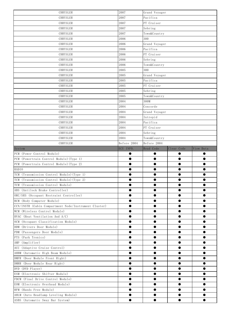| CHRYSLER                                                             | 2007        | Grand Voyager |            |           |
|----------------------------------------------------------------------|-------------|---------------|------------|-----------|
| CHRYSLER                                                             | 2007        | Pacifica      |            |           |
| CHRYSLER                                                             | 2007        | PT Cruiser    |            |           |
| CHRYSLER                                                             | 2007        | Sebring       |            |           |
| CHRYSLER                                                             | 2007        | Town&Country  |            |           |
| CHRYSLER                                                             | 2006        | 300           |            |           |
| CHRYSLER                                                             | 2006        | Grand Voyager |            |           |
| CHRYSLER                                                             | 2006        | Pacifica      |            |           |
| CHRYSLER                                                             | 2006        | PT Cruiser    |            |           |
| CHRYSLER                                                             | 2006        | Sebring       |            |           |
| CHRYSLER                                                             | 2006        | Town&Country  |            |           |
| CHRYSLER                                                             | 2005        | 300           |            |           |
| CHRYSLER                                                             | 2005        | Grand Voyager |            |           |
| CHRYSLER                                                             | 2005        | Pacifica      |            |           |
| CHRYSLER                                                             | 2005        | PT Cruiser    |            |           |
| CHRYSLER                                                             | 2005        | Sebring       |            |           |
| CHRYSLER                                                             | 2005        | Town&Country  |            |           |
| CHRYSLER                                                             | 2004        | 300M          |            |           |
| CHRYSLER                                                             | 2004        | Concorde      |            |           |
| CHRYSLER                                                             | 2004        | Grand Voyager |            |           |
| CHRYSLER                                                             | 2004        | Intrepid      |            |           |
| CHRYSLER                                                             | 2004        | Pacifica      |            |           |
| CHRYSLER                                                             | 2004        | PT Cruiser    |            |           |
| CHRYSLER                                                             | 2004        | Sebring       |            |           |
| CHRYSLER                                                             | 2004        | Town&Country  |            |           |
| CHRYSLER                                                             | Before 2004 | Before 2004   |            |           |
| System                                                               | ECU INFO.   | Read Code     | Clear Code | View Data |
| PCM (Power Control Module)                                           | $\bullet$   | $\bullet$     | $\bullet$  | $\bullet$ |
| PCM (Powertrain Control Module) (Type 1)                             | $\bullet$   | $\bullet$     | $\bullet$  | $\bullet$ |
| PCM (Powertrain Control Module) (Type 2)                             | $\bullet$   | $\bullet$     | $\bullet$  | $\bullet$ |
| <b>RADIO</b>                                                         | $\bullet$   | $\bullet$     | $\bullet$  | $\bullet$ |
| TCM (Transmission Control Module) (Type 1)                           | $\bullet$   | $\bullet$     | $\bullet$  | $\bullet$ |
| TCM (Transmission Control Module) (Type 2)                           | $\bullet$   |               | $\bullet$  | $\bullet$ |
| TCM (Transmission Control Module)                                    |             |               |            |           |
| ABS (Antilock Brake Controller)                                      |             |               |            |           |
| ORC/SRS (Occupant Restraint Controller)                              |             |               | $\bullet$  |           |
|                                                                      |             |               |            |           |
| BCM (Body Computer Module)                                           |             |               | $\bullet$  |           |
| CCN/INSTR (Cabin Compartment Node/Instrument Cluster)                |             |               | 0          |           |
| WCM (Wireless Control Module)                                        |             |               | ●          |           |
| HVAC (Heat Ventilation And A/C)                                      |             |               | $\bullet$  |           |
| OCM (Occupant Classification Module)                                 |             |               | $\bullet$  |           |
| DDM (Drivers Door Module)                                            |             |               | $\bullet$  |           |
| PDM (Passengers Door Module)                                         | $\bullet$   | ●             | $\bullet$  | ●         |
| PTS (Park Tronics)                                                   |             |               | $\bullet$  |           |
| AMP (Amplifier)                                                      |             |               |            |           |
| ACC (Adaptive Cruise Control)                                        |             |               |            |           |
| AHBM (Automatic High Beam Module)                                    |             |               | ●          |           |
| DMFR (Door Module Front Right)                                       |             |               | ●          |           |
| DMRR (Door Module Rear Right)                                        |             |               |            |           |
| DVD (DVD Player)                                                     |             |               | 0          |           |
|                                                                      |             |               |            |           |
|                                                                      |             | ●             |            | ▲         |
| ESM (Electronic Shifter Module)<br>FDCM (Final Drive Control Module) |             |               | ●          |           |
|                                                                      |             |               |            |           |
| EOM (Electronic Overhead Module)<br>HFM (Hands Free Module)          |             |               | $\bullet$  |           |
| AHLM (Auto Headlamp Leveling Module)                                 |             |               | $\bullet$  |           |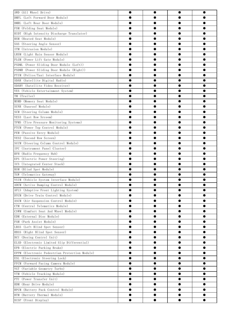| AWD (All Wheel Drive)                                                         |           |           | ●         |           |
|-------------------------------------------------------------------------------|-----------|-----------|-----------|-----------|
| DMFL (Left Forward Door Module)                                               |           |           |           |           |
| DMRL (Left Rear Door Module)                                                  |           |           |           |           |
| FSM (Folding Seat Module)                                                     |           |           | ●         |           |
| HIDT (High Intensity Discharge Translator)                                    |           |           | $\bullet$ |           |
| HSM (Heated Seat Module)                                                      |           |           | ●         |           |
| SAS (Steering Angle Sensor)                                                   | ●         | ●         | ●         | ●         |
| ITM (Intrusion Module)                                                        |           | 0         | ●         |           |
| LRSM (Light Rain Sensor Module)                                               |           |           |           |           |
| PLGM (Power Lift Gate Module)                                                 |           |           |           |           |
| PSDML (Power Sliding Door Module (Left))                                      |           |           | ●         |           |
| PSDMR (Power Sliding Door Module (Right))                                     |           |           | ●         |           |
| PTIM (Police/Taxi Interface Module)                                           |           |           | ●         |           |
| SDAR (Satellite Digital Radio)                                                |           |           | ●         |           |
| SDARV (Satellite Video Receiver)                                              | ●         | $\bullet$ | $\bullet$ | ●         |
| VES (Vehicle Entertainment System)                                            |           |           | ●         | ●         |
| TM (Trailer)                                                                  |           |           |           |           |
| MSMD (Memory Seat Module)                                                     |           |           |           |           |
| SUNR (Sunroof Module)                                                         |           |           | ●         |           |
| SCM (Steering Column Module)                                                  |           |           | ●         |           |
| VES3 (Last Row Srceem)                                                        |           |           | ●         |           |
| TPMS (Tire Pressure Monitoring Systems)                                       |           |           | ●         |           |
| PTCM (Power Top Control Module)                                               | ●         | ●         | ●         | ●         |
| PEM (Passive Entry Module)                                                    |           | 0         | ●         |           |
| VES2 (Second Row Screen)                                                      |           |           |           |           |
| SCCM (Steering Column Control Module)                                         |           |           |           |           |
| IPC (Instrument Panel Cluster)                                                |           |           | ●         |           |
| RFH (Radio Frequency Hub)                                                     |           |           | ●         | ●         |
| EPS (Electric Power Steering)                                                 |           |           | ●         |           |
| ICS (Integrated Center Stack)                                                 |           |           | ●         |           |
| BSM (Blind Spot Module)                                                       | ●         | ●         | $\bullet$ | ●         |
| TGW (Telematics Gateway)                                                      |           |           | ●         |           |
| VSIM (Vehicle System Interface Module)                                        |           |           |           |           |
|                                                                               |           |           |           |           |
| ADCM (Active Damping Control Module)<br>AFLS (Adaptive Front Lighting System) | ●         | ●         | ●         | ●         |
| DTCM (Drive Train Control Module)                                             |           | $\bullet$ | $\bullet$ |           |
|                                                                               |           |           | $\bullet$ |           |
| ASCM (Air Suspension Control Module)                                          |           |           |           |           |
| CTM (Central Telematics Module)                                               |           |           | ●         | ●         |
| CSWM (Comfort Seat And Wheel Module)                                          |           |           |           |           |
| EDM (External Disc Module)                                                    |           |           | ●         |           |
| PAM (Park Assist Module)                                                      |           |           | $\bullet$ |           |
| LBSS (Left Blind Spot Sensor)                                                 |           |           |           |           |
| RBSS (Right Blind Spot Sensor)                                                | $\bullet$ | $\bullet$ | $\bullet$ | ●         |
| DCU (Dosing Control Unit)                                                     |           | $\bullet$ | $\bullet$ | ●         |
| ELSD (Electronic Limited Slip Differential)                                   |           |           | $\bullet$ |           |
| EPB (Electric Parking Brake)                                                  |           |           | $\bullet$ |           |
| EPPM (Electronic Pedestrian Protection Module)                                | $\bullet$ | ●         | $\bullet$ | $\bullet$ |
| ESL (Electronic Steering Lock)                                                | $\bullet$ | $\bullet$ | $\bullet$ | ●         |
| FFCM (Forward Facing Camera Module)                                           |           |           | $\bullet$ |           |
| VGT (Variable Geometry Turbo)                                                 |           |           | $\bullet$ |           |
| VTM (Vehicle Tracking Module)                                                 | $\bullet$ | $\bullet$ | $\bullet$ | ●         |
| PTU (Power Transfer Unit)                                                     |           | $\bullet$ | $\bullet$ |           |
| RDM (Rear Drive Module)                                                       |           |           |           |           |
| BPCM (Battery Pack Control Module)                                            |           |           | $\bullet$ |           |
| BTM (Battery Thermal Module)                                                  | $\bullet$ | $\bullet$ | $\bullet$ | $\bullet$ |
| DISP (Front Display)                                                          | $\bullet$ | $\bullet$ | $\bullet$ | $\bullet$ |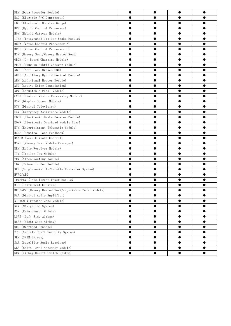| DRM (Data Recorder Module)                           | $\bullet$ |           | $\bullet$ | $\bullet$ |
|------------------------------------------------------|-----------|-----------|-----------|-----------|
| EAC (Electric A/C Compressor)                        |           |           | ●         |           |
| EBG (Electronic Booster Gauge)                       |           |           | ●         |           |
| HCP (Hybrid Control Processor)                       |           |           |           |           |
| HGM (Hybrid Gateway Module)                          | ●         |           | ●         |           |
| ITBM (Integrated Trailer Brake Module)               |           |           | ●         | ●         |
| MCPA (Motor Control Processor A)                     |           |           | ●         |           |
| MCPB (Motor Control Processor B)                     |           |           |           |           |
| MSM (Memory Seat/Memory Heated Seat)                 |           |           |           |           |
| OBCM (On Board Charging Module)                      |           |           | e         |           |
| PHGM (Plug In Hybrid Gateway Module)                 |           |           | ●         |           |
| ABSO (Anti Lock Brakes OBD)                          |           |           | e         |           |
| AHCP (Auxiliary Hybrid Control Module)               | ●         |           | ●         |           |
| AHM (Additional Heater Module)                       |           |           | ●         |           |
| ANC (Active Noise Cancelation)                       |           |           | ●         |           |
| APM (Adjustable Pedal Module)                        |           |           |           |           |
| CVPM (Central Vision Processing Module)              |           |           |           |           |
| DSM (Display Screen Module)                          |           |           | e         |           |
| DTV (Digital Television)                             |           |           | ●         |           |
| EAM (Emergency Assistance Module)                    |           |           |           |           |
| EBBM (Electronic Brake Booster Module)               |           |           | ●         |           |
| EOMR (Electronic Overhead Module Rear)               |           |           | ●         |           |
| ETM (Entertainment Telematic Module)                 |           |           | ●         |           |
| HALF (Haptical Lane Feedback)                        |           |           |           |           |
| HVACR (Rear Climate Control)                         |           |           | ●         |           |
| MSMP (Memory Seat Module-Passager)                   |           |           | ●         |           |
| RRM (Radio Receiver Module)                          |           |           | ●         |           |
| TTM (Trailer Tow Module)                             |           |           | e         |           |
| VRM (Video Routing Module)                           |           |           | ●         |           |
| TBM (Telematic Box Module)                           |           |           | e         |           |
| SRS (Supplemental Inflatable Restraint System)       |           |           |           |           |
| HVAC/ATC                                             |           |           |           |           |
| IPM/FCM (Intelligent Power Module)                   |           |           |           |           |
| MIC (Instrument Cluster)                             |           |           |           |           |
| MHS/APM (Memory Heated Seat/Adjustable Pedal Module) |           |           | ●         |           |
| DAA (Digital Audio Amplifier)                        |           |           | 0         |           |
| AT-XCM (Transfer Case Module)                        |           |           | ●         |           |
| NAV (NAVigation System)                              |           |           | ●         | ●         |
| RSM (Rain Sensor Module)                             |           |           | $\bullet$ |           |
| LSAB (Left Side Airbag)                              |           |           |           |           |
| RSAB (Right Side Airbag)                             | $\bullet$ | $\bullet$ | $\bullet$ |           |
| OHC (Overhead Console)                               | $\bullet$ | $\bullet$ | $\bullet$ |           |
| VTS (Vehicle Theft Security System)                  |           |           | ●         |           |
| SKM (SKIM-Skreem)                                    |           |           |           |           |
| SAR (Satellite Audio Receiver)                       | ●         | ●         | ●         |           |
| SLA (Shift Level Assembly Module)                    |           |           | $\bullet$ |           |
|                                                      | $\bullet$ | $\bullet$ | $\bullet$ | $\bullet$ |
| SRM (Airbag On/Off Switch System)                    |           |           |           |           |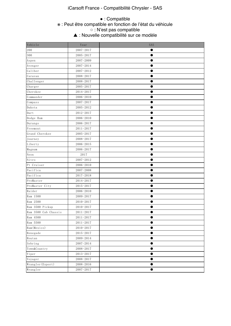## ● : Compatible

#### ، Peut être compatible is supported. ※ : Peut être compatible en fonction de l'état du véhicule

 $\sim \cdot$  N'est pas compatible. ○ : N'est pas compatible

 $\blacktriangle$   $\cdot$  Nouvelle compared. ▲ : Nouvelle compatibilité sur ce modèle

| Vehicle              | Year          | SAS       |
|----------------------|---------------|-----------|
| 200                  | 2007-2017     |           |
| 300                  | 2005-2017     |           |
| Aspen                | 2007-2009     |           |
| Avenger              | 2007-2014     |           |
| Caliber              | 2007-2012     |           |
| Caravan              | 2008-2017     | ●         |
| Challenger           | 2008-2017     |           |
| Charger              | 2005-2017     |           |
| Cherokee             | 2014-2017     |           |
| Commander            | 2006-2010     |           |
| Compass              | 2007-2017     |           |
| Dakota               | 2005-2012     |           |
| Dart                 | 2012-2017     |           |
| Dodge Ram            | 2006-2010     | ●         |
| Durango              | 2006-2017     |           |
| Freemont             | 2011-2017     |           |
| Grand Cherokee       | 2005-2017     |           |
| Journey              | 2008-2017     | ●         |
| Liberty              | 2006-2015     |           |
| Magnum               | 2006-2017     |           |
| Neon                 | 2017          |           |
| Nitro                | 2007-2012     |           |
| Pt Cruiser           | 2006-2010     |           |
| Pacifica             | 2007-2008     |           |
| Pacifica             | 2017-2018     |           |
| ProMaster            | 2014-2017     | ●         |
| ProMaster City       | 2015-2017     |           |
| Raider               | 2006-2010     |           |
| Ram 1500             | 2009-2017     |           |
| Ram 2500             | 2010-2017     | ●         |
| Ram 3500 Pickup      | $2010 - 2017$ | ●         |
| Ram 3500 Cab Chassis | $2011 - 2017$ |           |
| Ram 4500             | $2011 - 2017$ |           |
| Ram 5500             | $2011 - 2017$ | ●         |
| Ram (Mexico)         | $2010 - 2017$ | $\bullet$ |
| Renegade             | $2015 - 2017$ | 0         |
| Routan               | 2009-2014     |           |
| Sebring              | 2007-2014     | $\bullet$ |
| Town&Country         | 2008-2017     |           |
| Viper                | $2013 - 2017$ |           |
| Voyager              | $2008 - 2017$ | $\bullet$ |
| Wrangler (Export)    | 2008-2016     | $\bullet$ |
| Wrangler             | $2007 - 2017$ | $\bullet$ |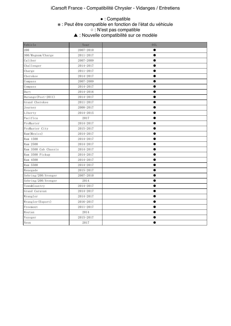#### e The This function is the compatible is the compatible  $\alpha \cdot N'$ est nas comnatible. Which depends on the vehicle  $\alpha$ ● : Compatible ※ : Peut être compatible en fonction de l'état du véhicule ○ : N'est pas compatible

▲ : Nouvelle compatibilité sur ce modèle

| Vehicle              | Year          | 0IL       |
|----------------------|---------------|-----------|
| 200                  | $2007 - 2010$ | ●         |
| 300/Msgnum/Charge    | $2011 - 2017$ | $\bullet$ |
| Caliber              | 2007-2009     | $\bullet$ |
| Challenger           | 2014-2017     | 0         |
| Charge               | $2011 - 2017$ | ●         |
| Cherokee             | 2014-2017     | 0         |
| Compass              | 2007-2009     | ●         |
| Compass              | $2014 - 2017$ |           |
| Dart                 | 2014-2016     | ●         |
| Durango (Post-2011)  | 2014-2017     | $\bullet$ |
| Grand Cherokee       | 2011-2017     | ●         |
| Journey              | 2008-2017     | ●         |
| Liberty              | 2014-2015     | Ω         |
| Pacifica             | 2017          | ●         |
| ProMaster            | 2014-2017     | ●         |
| ProMaster City       | 2015-2017     | e         |
| Ram (Mexico)         | 2014-2017     | ●         |
| Ram 1500             | 2014-2017     | ●         |
| Ram 2500             | 2014-2017     | ●         |
| Ram 3500 Cab Chassis | 2014-2017     |           |
| Ram 3500 Pickup      | 2014-2017     | ●         |
| Ram 4500             | 2014-2017     |           |
| Ram 5500             | 2014-2017     | 0         |
| Renegade             | 2015-2017     | ●         |
| Sebring/200/Avenger  | $2007 - 2010$ | ●         |
| Sebring/200/Avenger  | 2014          | ●         |
| Town&Country         | 2014-2017     | ●         |
| Grand Caravan        | 2014-2017     | ●         |
| Wrangler             | 2014-2017     | ●         |
| Wrangler (Export)    | 2016-2017     | e         |
| Freemont             | $2011 - 2017$ |           |
| Routan               | 2014          | ●         |
| Voyoger              | 2015-2017     | ●         |
| Neon                 | 2017          | $\bullet$ |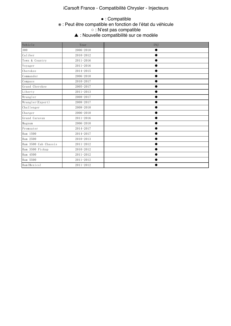## iCarsoft France - Compatibilité Chrysler - Injecteurs

#### **Example 15 Secure 1st Function is supported.** The support of  $\ddot{x}$  is supported. The support of  $\ddot{x}$  is supported. The support of  $\ddot{x}$  is supported. The support of  $\ddot{x}$  is supported. The support of  $\ddot{x}$  is s  $\circ$   $\cdot$  N'est pas compatible. ▲ : Nouvelle compatibilité sur ce modèle ● : Compatible ※ : Peut être compatible en fonction de l'état du véhicule ○ : N'est pas compatible

| Vehicle              | Year          | INJ |
|----------------------|---------------|-----|
| 300                  | 2006-2010     |     |
| Caliber              | 2010-2012     |     |
| Town & Country       | $2011 - 2016$ |     |
| Voyager              | $2011 - 2016$ |     |
| Cherokee             | 2014-2015     |     |
| Commander            | 2006-2010     |     |
| Compass              | 2010-2017     |     |
| Grand Cherokee       | 2005-2017     |     |
| Liberty              | $2011 - 2013$ |     |
| Wrangler             | 2008-2017     |     |
| Wrangler (Export)    | 2008-2017     |     |
| Challenger           | 2008-2010     |     |
| Charger              | 2006-2010     |     |
| Grand Caravan        | $2011 - 2016$ |     |
| Magnum               | 2006-2010     |     |
| Promsater            | 2014-2017     |     |
| Ram 1500             | 2014-2017     |     |
| Ram 2500             | 2010-2013     |     |
| Ram 3500 Cab Chassis | 2011-2012     |     |
| Ram 3500 Pickup      | 2010-2012     |     |
| Ram 4500             | 2011-2012     |     |
| Ram 5500             | 2011-2012     |     |
| Ram (Mexico)         | 2011-2012     |     |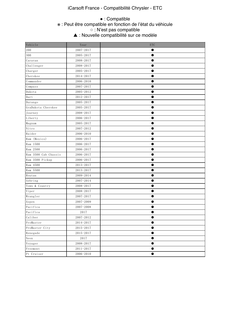# iCarsoft France - Compatibilité Chrysler - ETC

## ● : Compatible

#### w : Peut être compatible ※ : Peut être compatible en fonction de l'état du véhicule

 $\alpha \cdot N'$ est nas comnatible. ○ : N'est pas compatible

 $\blacktriangle$  • Nouvelle compa ▲ : Nouvelle compatibilité sur ce modèle

| Vehicle              | Year          | <b>ETC</b> |
|----------------------|---------------|------------|
| 200                  | 2007-2017     |            |
| 300                  | 2005-2017     |            |
| Caravan              | 2008-2017     | ●          |
| Challenger           | 2008-2017     |            |
| Charger              | 2005-2017     |            |
| Cherokee             | 2014-2017     |            |
| Commander            | 2006-2010     |            |
| Compass              | 2007-2017     |            |
| Dakota               | 2005-2012     |            |
| Dart                 | 2012-2017     |            |
| Durango              | 2005-2017     |            |
| GraDakota Cherokee   | 2005-2017     |            |
| Journey              | 2008-2017     |            |
| Liberty              | 2006-2017     |            |
| Magnum               | 2005-2017     | ●          |
| Nitro                | 2007-2012     |            |
| Raider               | 2006-2010     |            |
| Ram (Mexico)         | 2006-2017     |            |
| Ram 1500             | 2006-2017     | $\bullet$  |
| Ram 2500             | 2006-2017     |            |
| Ram 3500 Cab Chassis | 2006-2017     |            |
| Ram 3500 Pickup      | 2006-2017     |            |
| Ram 4500             | 2013-2017     |            |
| Ram 5500             | 2013-2017     |            |
| Routan               | 2009-2014     |            |
| Sebring              | 2007-2014     |            |
| Town & Country       | 2008-2017     |            |
| Viper                | 2008-2017     |            |
| Wrangler             | $2007 - 2017$ |            |
| Aspen                | 2007-2009     |            |
| Pacifica             | $2007 - 2008$ |            |
| Pacifica             | 2017          |            |
| Caliber              | 2007-2012     | $\bullet$  |
| ProMaster            | 2014-2017     |            |
| ProMaster City       | 2015-2017     | $\bullet$  |
| Renegade             | 2015-2017     |            |
| Neon                 | 2017          |            |
| Voyager              | 2008-2017     |            |
| Freemont             | $2011 - 2017$ | $\bullet$  |
| Pt Cruiser           | $2006 - 2010$ | $\bullet$  |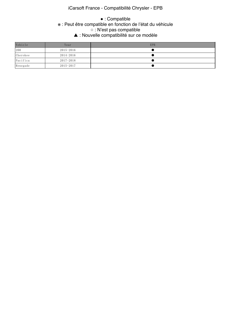# iCarsoft France - Compatibilité Chrysler - EPB

### **Example 12** Section is supported. The support of  $\ddot{x}$  is  $\ddot{x}$  . Peut être compati  $\circ$   $\cdot$  N'est pas compatible. △ : Nouvelle compatibilité sur ce modèle ● : Compatible ※ : Peut être compatible en fonction de l'état du véhicule ○ : N'est pas compatible

| Vehicle  | Year          | <b>EPB</b> |
|----------|---------------|------------|
| 200      | 2015-2016     |            |
| Cherokee | 2014-2016     |            |
| Pacifica | $2017 - 2018$ |            |
| Renegade | 2015-2017     |            |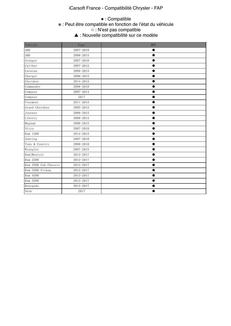# iCarsoft France - Compatibilité Chrysler - FAP

#### **Example 18 Startion is support in the support of the compatible**  $\epsilon$  $\circ$   $\cdot$  N'est pas compatible. △ Thouvelle compatible is not supported. The support of  $\triangle$  in Nouvelle compati ● : Compatible ※ : Peut être compatible en fonction de l'état du véhicule ○ : N'est pas compatible ▲ : Nouvelle compatibilité sur ce modèle

| Vehicle              | Year          | <b>DPF</b> |
|----------------------|---------------|------------|
| 200                  | $2007 - 2010$ |            |
| 300                  | 2006-2015     |            |
| Avenger              | $2007 - 2010$ |            |
| Caliber              | 2007-2012     |            |
| Caravan              | 2008-2015     |            |
| Charger              | 2006-2015     |            |
| Cherokee             | 2014-2015     |            |
| Commander            | 2006-2010     |            |
| Compass              | 2007-2014     |            |
| Compass              | 2017          |            |
| Freemont             | $2011 - 2015$ |            |
| Grand Cherokee       | $2005 - 2015$ |            |
| Journey              | 2008-2015     |            |
| Liberty              | 2008-2013     |            |
| Magnum               | 2006-2015     |            |
| Nitro                | $2007 - 2010$ |            |
| Ram 1500             | 2014-2015     |            |
| Sebring              | 2007-2010     |            |
| Town & Country       | 2008-2010     |            |
| Wrangler             | 2007-2015     | ●          |
| Ram (Mexico)         | 2013-2017     |            |
| Ram 2500             | 2013-2017     |            |
| Ram 3500 Cab Chassis | 2013-2017     |            |
| Ram 3500 Pickup      | 2013-2017     |            |
| Ram 4500             | 2013-2017     |            |
| Ram 5500             | 2013-2017     |            |
| Renegade             | 2015-2017     |            |
| Neon                 | 2017          |            |